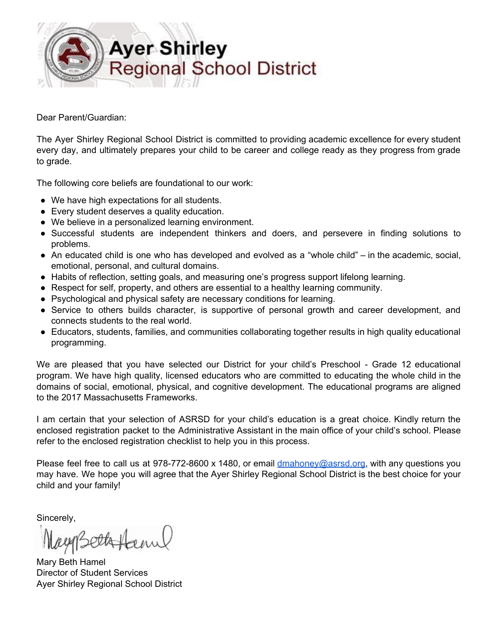

Dear Parent/Guardian:

The Ayer Shirley Regional School District is committed to providing academic excellence for every student every day, and ultimately prepares your child to be career and college ready as they progress from grade to grade.

The following core beliefs are foundational to our work:

- We have high expectations for all students.
- Every student deserves a quality education.
- We believe in a personalized learning environment.
- Successful students are independent thinkers and doers, and persevere in finding solutions to problems.
- An educated child is one who has developed and evolved as a "whole child" in the academic, social, emotional, personal, and cultural domains.
- Habits of reflection, setting goals, and measuring one's progress support lifelong learning.
- Respect for self, property, and others are essential to a healthy learning community.
- Psychological and physical safety are necessary conditions for learning.
- Service to others builds character, is supportive of personal growth and career development, and connects students to the real world.
- Educators, students, families, and communities collaborating together results in high quality educational programming.

We are pleased that you have selected our District for your child's Preschool - Grade 12 educational program. We have high quality, licensed educators who are committed to educating the whole child in the domains of social, emotional, physical, and cognitive development. The educational programs are aligned to the 2017 Massachusetts Frameworks.

I am certain that your selection of ASRSD for your child's education is a great choice. Kindly return the enclosed registration packet to the Administrative Assistant in the main office of your child's school. Please refer to the enclosed registration checklist to help you in this process.

Please feel free to call us at  $978-772-8600 \times 1480$ , or email  $\frac{\text{d}}{{\text{d}} n}$   $\frac{\text{d}}{{\text{d}} n}$   $\frac{\text{d}}{{\text{d}} n}$  with any questions you may have. We hope you will agree that the Ayer Shirley Regional School District is the best choice for your child and your family!

Sincerely,

Mayorathynn

Mary Beth Hamel Director of Student Services Ayer Shirley Regional School District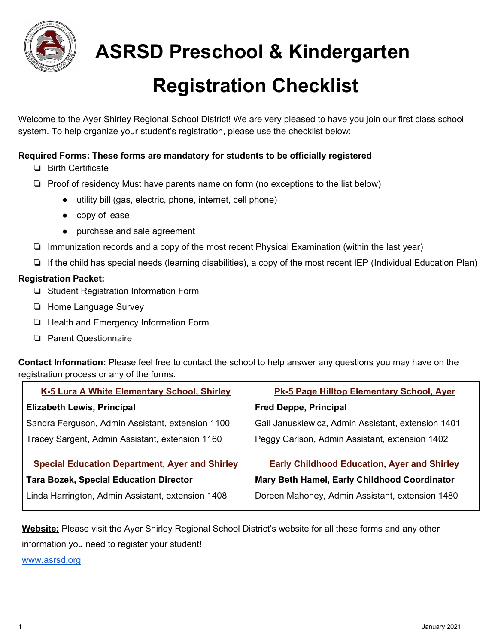

 **ASRSD Preschool & Kindergarten**

## **Registration Checklist**

Welcome to the Ayer Shirley Regional School District! We are very pleased to have you join our first class school system. To help organize your student's registration, please use the checklist below:

#### **Required Forms: These forms are mandatory for students to be officially registered**

- ❏ Birth Certificate
- ❏ Proof of residency Must have parents name on form (no exceptions to the list below)
	- utility bill (gas, electric, phone, internet, cell phone)
	- copy of lease
	- purchase and sale agreement
- ❏ Immunization records and a copy of the most recent Physical Examination (within the last year)
- ❏ If the child has special needs (learning disabilities), a copy of the most recent IEP (Individual Education Plan)

#### **Registration Packet:**

- ❏ Student Registration Information Form
- ❏ Home Language Survey
- ❏ Health and Emergency Information Form
- ❏ Parent Questionnaire

**Contact Information:** Please feel free to contact the school to help answer any questions you may have on the registration process or any of the forms.

| K-5 Lura A White Elementary School, Shirley           | Pk-5 Page Hilltop Elementary School, Ayer          |
|-------------------------------------------------------|----------------------------------------------------|
| <b>Elizabeth Lewis, Principal</b>                     | <b>Fred Deppe, Principal</b>                       |
| Sandra Ferguson, Admin Assistant, extension 1100      | Gail Januskiewicz, Admin Assistant, extension 1401 |
| Tracey Sargent, Admin Assistant, extension 1160       | Peggy Carlson, Admin Assistant, extension 1402     |
| <b>Special Education Department, Ayer and Shirley</b> | <b>Early Childhood Education, Ayer and Shirley</b> |
| <b>Tara Bozek, Special Education Director</b>         | Mary Beth Hamel, Early Childhood Coordinator       |
| Linda Harrington, Admin Assistant, extension 1408     | Doreen Mahoney, Admin Assistant, extension 1480    |

**Website:** Please visit the Ayer Shirley Regional School District's website for all these forms and any other

information you need to register your student!

[www.asrsd.org](http://www.asrsd.org/)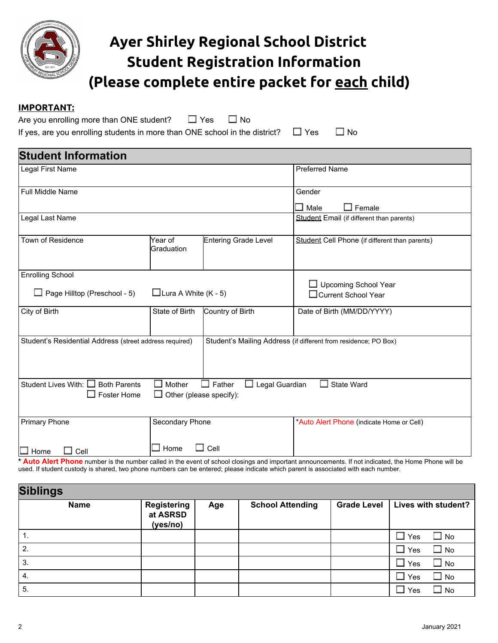

## **Ayer Shirley Regional School District Student Registration Information (Please complete entire packet for each child)**

#### **IMPORTANT:**

| Are you enrolling more than ONE student?                                                               | $\square$ Yes $\square$ No |  |  |
|--------------------------------------------------------------------------------------------------------|----------------------------|--|--|
| If yes, are you enrolling students in more than ONE school in the district? $\square$ Yes $\square$ No |                            |  |  |

| <b>Student Information</b>                               |                                                 |                                        |                                                                                                                                                    |
|----------------------------------------------------------|-------------------------------------------------|----------------------------------------|----------------------------------------------------------------------------------------------------------------------------------------------------|
| Legal First Name                                         |                                                 |                                        | <b>Preferred Name</b>                                                                                                                              |
| Full Middle Name                                         |                                                 |                                        | Gender<br>$\Box$ Female<br>Male<br>$\overline{\phantom{a}}$                                                                                        |
| Legal Last Name                                          |                                                 |                                        | Student Email (if different than parents)                                                                                                          |
| Town of Residence                                        | Year of<br>Graduation                           | Entering Grade Level                   | Student Cell Phone (if different than parents)                                                                                                     |
| <b>Enrolling School</b>                                  |                                                 |                                        | $\Box$ Upcoming School Year                                                                                                                        |
| $\Box$ Page Hilltop (Preschool - 5)                      | $\Box$ Lura A White (K - 5)                     |                                        | □ Current School Year                                                                                                                              |
| City of Birth                                            | State of Birth                                  | Country of Birth                       | Date of Birth (MM/DD/YYYY)                                                                                                                         |
| Student's Residential Address (street address required)  |                                                 |                                        | Student's Mailing Address (if different from residence; PO Box)                                                                                    |
| Student Lives With: □ Both Parents<br>$\Box$ Foster Home | $\Box$ Mother<br>$\Box$ Other (please specify): | $\Box$ Father<br>$\Box$ Legal Guardian | State Ward                                                                                                                                         |
| <b>Primary Phone</b>                                     | Secondary Phone                                 |                                        | *Auto Alert Phone (indicate Home or Cell)                                                                                                          |
| $\Box$ Home<br>Cell                                      | Home                                            | $\Box$ Cell                            | Auto Alart Phono number is the number called in the event of school closings and important appeupcoments. If not indicated, the Home Phono will be |

**t** in the event of school closings and important announcements. If not indicated, the Home Phone will be used. If student custody is shared, two phone numbers can be entered; please indicate which parent is associated with each number.

| <b>Siblings</b> |                                            |     |                         |                                   |
|-----------------|--------------------------------------------|-----|-------------------------|-----------------------------------|
| <b>Name</b>     | <b>Registering</b><br>at ASRSD<br>(yes/no) | Age | <b>School Attending</b> | Grade Level   Lives with student? |
| 1.              |                                            |     |                         | $\Box$ Yes<br>$\square$ No        |
| 2.              |                                            |     |                         | $\Box$ Yes<br>$\Box$ No           |
| 3.              |                                            |     |                         | $\Box$ Yes<br>$\Box$ No           |
| -4.             |                                            |     |                         | $\Box$ Yes<br>$\Box$ No           |
| 5.              |                                            |     |                         | $\Box$ Yes<br>$\Box$ No           |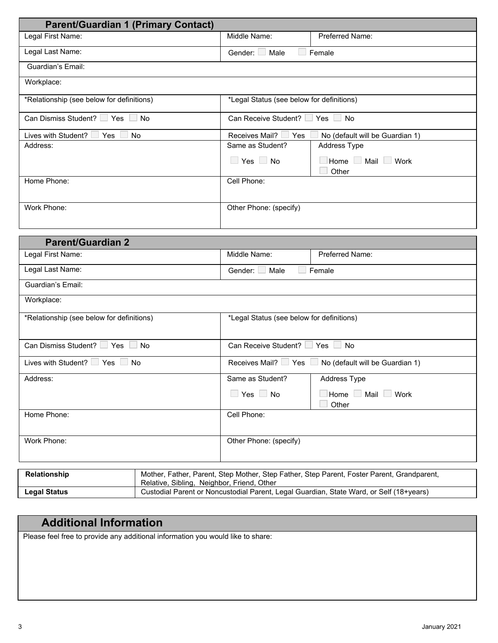| <b>Parent/Guardian 1 (Primary Contact)</b> |                                                                                                                                       |                                           |                                                                                            |
|--------------------------------------------|---------------------------------------------------------------------------------------------------------------------------------------|-------------------------------------------|--------------------------------------------------------------------------------------------|
| Legal First Name:                          |                                                                                                                                       | Middle Name:                              | Preferred Name:                                                                            |
| Legal Last Name:                           |                                                                                                                                       | Gender: $\Box$<br>Male                    | Female                                                                                     |
| Guardian's Email:                          |                                                                                                                                       |                                           |                                                                                            |
| Workplace:                                 |                                                                                                                                       |                                           |                                                                                            |
| *Relationship (see below for definitions)  |                                                                                                                                       | *Legal Status (see below for definitions) |                                                                                            |
|                                            |                                                                                                                                       |                                           |                                                                                            |
| Can Dismiss Student? Yes                   | $\blacksquare$ No                                                                                                                     | Can Receive Student? In Yes               | $\Box$ No                                                                                  |
| Lives with Student?<br>Yes                 | No                                                                                                                                    | Receives Mail?<br>Yes                     | No (default will be Guardian 1)                                                            |
| Address:                                   |                                                                                                                                       | Same as Student?                          | Address Type                                                                               |
|                                            |                                                                                                                                       | $\Box$ Yes $\Box$ No                      | Home Mail Work<br>Other                                                                    |
| Home Phone:                                |                                                                                                                                       | Cell Phone:                               |                                                                                            |
|                                            |                                                                                                                                       |                                           |                                                                                            |
| Work Phone:                                |                                                                                                                                       | Other Phone: (specify)                    |                                                                                            |
|                                            |                                                                                                                                       |                                           |                                                                                            |
| <b>Parent/Guardian 2</b>                   |                                                                                                                                       |                                           |                                                                                            |
| Legal First Name:                          |                                                                                                                                       | Middle Name:                              | Preferred Name:                                                                            |
| Legal Last Name:                           |                                                                                                                                       | Male<br>Gender: $\Box$                    | Female                                                                                     |
| Guardian's Email:                          |                                                                                                                                       |                                           |                                                                                            |
| Workplace:                                 |                                                                                                                                       |                                           |                                                                                            |
| *Relationship (see below for definitions)  |                                                                                                                                       | *Legal Status (see below for definitions) |                                                                                            |
|                                            |                                                                                                                                       |                                           |                                                                                            |
| Can Dismiss Student? Yes                   | <b>No</b>                                                                                                                             | Can Receive Student? Yes                  | $\Box$ No                                                                                  |
| Lives with Student? Yes                    | No                                                                                                                                    | Receives Mail? Ves                        | No (default will be Guardian 1)                                                            |
| Address:                                   |                                                                                                                                       | Same as Student?                          | Address Type                                                                               |
|                                            |                                                                                                                                       | $\Box$ Yes $\Box$ No                      | Home Mail Work                                                                             |
|                                            |                                                                                                                                       |                                           | Other                                                                                      |
| Home Phone:                                |                                                                                                                                       | Cell Phone:                               |                                                                                            |
|                                            |                                                                                                                                       |                                           |                                                                                            |
| Work Phone:                                |                                                                                                                                       | Other Phone: (specify)                    |                                                                                            |
|                                            |                                                                                                                                       |                                           |                                                                                            |
| Relationship                               |                                                                                                                                       |                                           | Mother, Father, Parent, Step Mother, Step Father, Step Parent, Foster Parent, Grandparent, |
|                                            | Relative, Sibling, Neighbor, Friend, Other<br>Custodial Parent or Noncustodial Parent, Legal Guardian, State Ward, or Self (18+years) |                                           |                                                                                            |
| <b>Legal Status</b>                        |                                                                                                                                       |                                           |                                                                                            |

### **Additional Information**

Please feel free to provide any additional information you would like to share: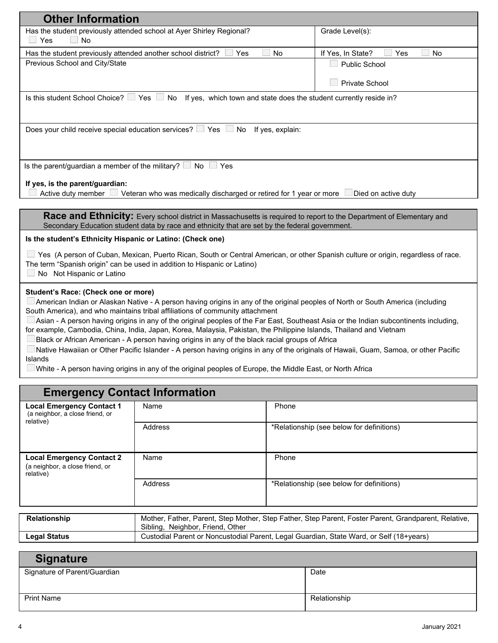| <b>Other Information</b>                                                                                                                        |                                                                                                                                                                                                               |       |                                                                                                                                       |  |  |
|-------------------------------------------------------------------------------------------------------------------------------------------------|---------------------------------------------------------------------------------------------------------------------------------------------------------------------------------------------------------------|-------|---------------------------------------------------------------------------------------------------------------------------------------|--|--|
| $\Box$ Yes<br><b>No</b>                                                                                                                         | Has the student previously attended school at Ayer Shirley Regional?                                                                                                                                          |       | Grade Level(s):                                                                                                                       |  |  |
| Has the student previously attended another school district?                                                                                    | Yes                                                                                                                                                                                                           | No    | If Yes, In State?<br>Yes<br>No                                                                                                        |  |  |
| Previous School and City/State                                                                                                                  |                                                                                                                                                                                                               |       | <b>Public School</b>                                                                                                                  |  |  |
|                                                                                                                                                 |                                                                                                                                                                                                               |       |                                                                                                                                       |  |  |
|                                                                                                                                                 |                                                                                                                                                                                                               |       | Private School                                                                                                                        |  |  |
|                                                                                                                                                 | Is this student School Choice? $\Box$ Yes $\Box$ No If yes, which town and state does the student currently reside in?                                                                                        |       |                                                                                                                                       |  |  |
|                                                                                                                                                 |                                                                                                                                                                                                               |       |                                                                                                                                       |  |  |
|                                                                                                                                                 | Does your child receive special education services? $\Box$ Yes $\Box$ No If yes, explain:                                                                                                                     |       |                                                                                                                                       |  |  |
|                                                                                                                                                 |                                                                                                                                                                                                               |       |                                                                                                                                       |  |  |
|                                                                                                                                                 |                                                                                                                                                                                                               |       |                                                                                                                                       |  |  |
| Is the parent/guardian a member of the military? $\Box$ No $\Box$ Yes                                                                           |                                                                                                                                                                                                               |       |                                                                                                                                       |  |  |
|                                                                                                                                                 |                                                                                                                                                                                                               |       |                                                                                                                                       |  |  |
| If yes, is the parent/guardian:                                                                                                                 | Active duty member U Veteran who was medically discharged or retired for 1 year or more                                                                                                                       |       | Died on active duty                                                                                                                   |  |  |
|                                                                                                                                                 |                                                                                                                                                                                                               |       |                                                                                                                                       |  |  |
|                                                                                                                                                 | Secondary Education student data by race and ethnicity that are set by the federal government.                                                                                                                |       | Race and Ethnicity: Every school district in Massachusetts is required to report to the Department of Elementary and                  |  |  |
| Is the student's Ethnicity Hispanic or Latino: (Check one)                                                                                      |                                                                                                                                                                                                               |       |                                                                                                                                       |  |  |
|                                                                                                                                                 |                                                                                                                                                                                                               |       |                                                                                                                                       |  |  |
|                                                                                                                                                 | Yes (A person of Cuban, Mexican, Puerto Rican, South or Central American, or other Spanish culture or origin, regardless of race.<br>The term "Spanish origin" can be used in addition to Hispanic or Latino) |       |                                                                                                                                       |  |  |
| No Not Hispanic or Latino                                                                                                                       |                                                                                                                                                                                                               |       |                                                                                                                                       |  |  |
|                                                                                                                                                 |                                                                                                                                                                                                               |       |                                                                                                                                       |  |  |
| Student's Race: (Check one or more)                                                                                                             |                                                                                                                                                                                                               |       | American Indian or Alaskan Native - A person having origins in any of the original peoples of North or South America (including       |  |  |
|                                                                                                                                                 | South America), and who maintains tribal affiliations of community attachment                                                                                                                                 |       |                                                                                                                                       |  |  |
|                                                                                                                                                 |                                                                                                                                                                                                               |       | Asian - A person having origins in any of the original peoples of the Far East, Southeast Asia or the Indian subcontinents including, |  |  |
|                                                                                                                                                 | for example, Cambodia, China, India, Japan, Korea, Malaysia, Pakistan, the Philippine Islands, Thailand and Vietnam                                                                                           |       |                                                                                                                                       |  |  |
|                                                                                                                                                 | Black or African American - A person having origins in any of the black racial groups of Africa                                                                                                               |       |                                                                                                                                       |  |  |
| Native Hawaiian or Other Pacific Islander - A person having origins in any of the originals of Hawaii, Guam, Samoa, or other Pacific<br>Islands |                                                                                                                                                                                                               |       |                                                                                                                                       |  |  |
| White - A person having origins in any of the original peoples of Europe, the Middle East, or North Africa                                      |                                                                                                                                                                                                               |       |                                                                                                                                       |  |  |
|                                                                                                                                                 |                                                                                                                                                                                                               |       |                                                                                                                                       |  |  |
|                                                                                                                                                 | <b>Emergency Contact Information</b>                                                                                                                                                                          |       |                                                                                                                                       |  |  |
| <b>Local Emergency Contact 1</b>                                                                                                                | Name                                                                                                                                                                                                          | Phone |                                                                                                                                       |  |  |
| (a neighbor, a close friend, or<br>relative)                                                                                                    |                                                                                                                                                                                                               |       |                                                                                                                                       |  |  |
|                                                                                                                                                 | Address                                                                                                                                                                                                       |       | *Relationship (see below for definitions)                                                                                             |  |  |
|                                                                                                                                                 |                                                                                                                                                                                                               |       |                                                                                                                                       |  |  |
| <b>Local Emergency Contact 2</b>                                                                                                                | Name                                                                                                                                                                                                          | Phone |                                                                                                                                       |  |  |
| (a neighbor a close friend or                                                                                                                   |                                                                                                                                                                                                               |       |                                                                                                                                       |  |  |

| it a neignbor, a close friend, or<br>relative) |                               |                                                                                                      |
|------------------------------------------------|-------------------------------|------------------------------------------------------------------------------------------------------|
|                                                | Address                       | *Relationship (see below for definitions)                                                            |
|                                                |                               |                                                                                                      |
|                                                |                               |                                                                                                      |
| Relationship                                   | Cibling Noighbor Eriond Othor | Mother, Father, Parent, Step Mother, Step Father, Step Parent, Foster Parent, Grandparent, Relative, |

| <b>Legal Status</b> | Sibling, Neighbor, Friend, Other<br>Custodial Parent or Noncustodial Parent, Legal Guardian, State Ward, or Self (18+years) |
|---------------------|-----------------------------------------------------------------------------------------------------------------------------|
|                     |                                                                                                                             |
| Sianaturo           |                                                                                                                             |

| <b>Signature</b>             |              |
|------------------------------|--------------|
| Signature of Parent/Guardian | Date         |
|                              |              |
|                              |              |
| <b>Print Name</b>            | Relationship |
|                              |              |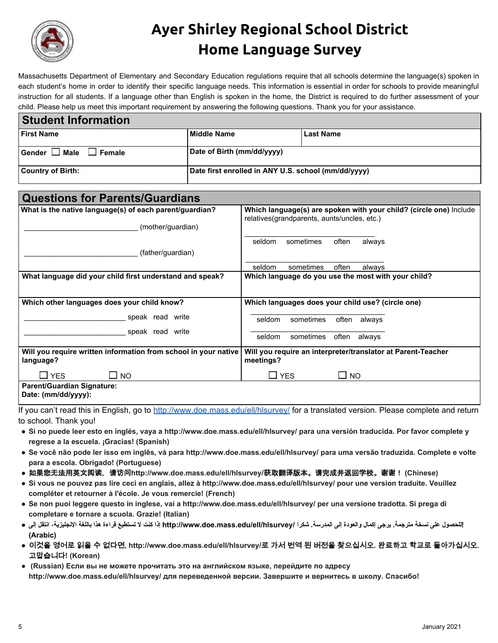

## **Ayer Shirley Regional School District Home Language Survey**

Massachusetts Department of Elementary and Secondary Education regulations require that all schools determine the language(s) spoken in each student's home in order to identify their specific language needs. This information is essential in order for schools to provide meaningful instruction for all students. If a language other than English is spoken in the home, the District is required to do further assessment of your child. Please help us meet this important requirement by answering the following questions. Thank you for your assistance.

| <b>Student Information</b>             |                                                     |                  |  |
|----------------------------------------|-----------------------------------------------------|------------------|--|
| <b>First Name</b>                      | Middle Name                                         | <b>Last Name</b> |  |
| $G$ ender $\Box$ Male<br>$\Box$ Female | Date of Birth (mm/dd/yyyy)                          |                  |  |
| <b>Country of Birth:</b>               | Date first enrolled in ANY U.S. school (mm/dd/yyyy) |                  |  |

| <b>Questions for Parents/Guardians</b>                                       |                                                                                                                                                 |  |  |
|------------------------------------------------------------------------------|-------------------------------------------------------------------------------------------------------------------------------------------------|--|--|
| What is the native language(s) of each parent/guardian?<br>(mother/guardian) | Which language(s) are spoken with your child? (circle one) Include<br>relatives (grandparents, aunts/uncles, etc.)                              |  |  |
| (father/guardian)                                                            | seldom<br>sometimes<br>often<br>always                                                                                                          |  |  |
|                                                                              | seldom<br>sometimes<br>often<br>always                                                                                                          |  |  |
| What language did your child first understand and speak?                     | Which language do you use the most with your child?                                                                                             |  |  |
| Which other languages does your child know?                                  | Which languages does your child use? (circle one)                                                                                               |  |  |
| speak read write                                                             | seldom<br>sometimes<br>often always                                                                                                             |  |  |
| speak read write                                                             | often<br>sometimes<br>seldom<br>always                                                                                                          |  |  |
| Will you require written information from school in your native<br>language? | Will you require an interpreter/translator at Parent-Teacher<br>meetings?                                                                       |  |  |
| $\square$ YES<br>$\square$ NO                                                | $\square$ YES<br>$\square$ NO                                                                                                                   |  |  |
| <b>Parent/Guardian Signature:</b><br>Date: (mm/dd/yyyy):                     |                                                                                                                                                 |  |  |
|                                                                              | بالمقراومة وللمنا والمتحال والمستري الملواومون الماسية والمارا الماريون والمتحاف والمتحاف والمتحاف والمتحاف والمارا والمستحاث والمتحدث والمتحدث |  |  |

If you can't read this in English, go to <http://www.doe.mass.edu/ell/hlsurvey/> for a translated version. Please complete and return to school. Thank you!

- **● Si no puede leer esto en inglés, vaya a http://www.doe.mass.edu/ell/hlsurvey/ para una versión traducida. Por favor complete y regrese a la escuela. ¡Gracias! (Spanish)**
- **● Se você não pode ler isso em inglês, vá para http://www.doe.mass.edu/ell/hlsurvey/ para uma versão traduzida. Complete e volte para a escola. Obrigado! (Portuguese)**
- **●** 如果您无法用英文阅读,请访问**http://www.doe.mass.edu/ell/hlsurvey/**获取翻译版本。请完成并返回学校。谢谢! **(Chinese)**
- **● Si vous ne pouvez pas lire ceci en anglais, allez à http://www.doe.mass.edu/ell/hlsurvey/ pour une version traduite. Veuillez compléter et retourner à l'école. Je vous remercie! (French)**
- **● Se non puoi leggere questo in inglese, vai a http://www.doe.mass.edu/ell/hlsurvey/ per una versione tradotta. Si prega di completare e tornare a scuola. Grazie! (Italian)**
- **!للحصول على نسخة مترجمة. یرجى إكمال والعودة إلى المدرسة. شكرا /hlsurvey/ell/edu.mass.doe.www://http إذا كنت لا تستطیع قراءة هذا باللغة الإنجلیزیة، انتقل إلى ● (Arabic)**
- **●** 이것을 영어로 읽을 수 없다면**, http://www.doe.mass.edu/ell/hlsurvey/**로 가서 번역 된 버전을 찾으십시오**.** 완료하고 학교로 돌아가십시오**.** 고맙습니다**! (Korean)**
- **(Russian) Если вы не можете прочитать это на английском языке, перейдите по адресу http://www.doe.mass.edu/ell/hlsurvey/ для переведенной версии. Завершите и вернитесь в школу. Спасибо!**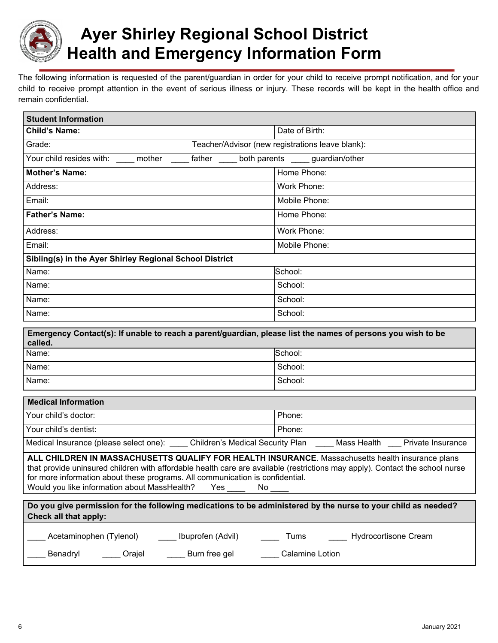

## **Ayer Shirley Regional School District Health and Emergency Information Form**

The following information is requested of the parent/guardian in order for your child to receive prompt notification, and for your child to receive prompt attention in the event of serious illness or injury. These records will be kept in the health office and remain confidential.

| <b>Student Information</b>                                                                                                                                                                                                                                                                                                                                                     |                   |                                                                                                                        |  |  |
|--------------------------------------------------------------------------------------------------------------------------------------------------------------------------------------------------------------------------------------------------------------------------------------------------------------------------------------------------------------------------------|-------------------|------------------------------------------------------------------------------------------------------------------------|--|--|
| <b>Child's Name:</b>                                                                                                                                                                                                                                                                                                                                                           |                   | Date of Birth:                                                                                                         |  |  |
| Grade:                                                                                                                                                                                                                                                                                                                                                                         |                   | Teacher/Advisor (new registrations leave blank):                                                                       |  |  |
| Your child resides with: _____ mother _____ father _____ both parents _____ guardian/other                                                                                                                                                                                                                                                                                     |                   |                                                                                                                        |  |  |
| <b>Mother's Name:</b>                                                                                                                                                                                                                                                                                                                                                          |                   | Home Phone:                                                                                                            |  |  |
| Address:                                                                                                                                                                                                                                                                                                                                                                       |                   | Work Phone:                                                                                                            |  |  |
| Email:                                                                                                                                                                                                                                                                                                                                                                         |                   | Mobile Phone:                                                                                                          |  |  |
| <b>Father's Name:</b>                                                                                                                                                                                                                                                                                                                                                          |                   | Home Phone:                                                                                                            |  |  |
| Address:                                                                                                                                                                                                                                                                                                                                                                       |                   | Work Phone:                                                                                                            |  |  |
| Email:                                                                                                                                                                                                                                                                                                                                                                         |                   | Mobile Phone:                                                                                                          |  |  |
| Sibling(s) in the Ayer Shirley Regional School District                                                                                                                                                                                                                                                                                                                        |                   |                                                                                                                        |  |  |
| Name:                                                                                                                                                                                                                                                                                                                                                                          |                   | School:                                                                                                                |  |  |
| Name:                                                                                                                                                                                                                                                                                                                                                                          |                   | School:                                                                                                                |  |  |
| Name:                                                                                                                                                                                                                                                                                                                                                                          |                   | School:                                                                                                                |  |  |
| Name:                                                                                                                                                                                                                                                                                                                                                                          |                   | School:                                                                                                                |  |  |
| called.                                                                                                                                                                                                                                                                                                                                                                        |                   | Emergency Contact(s): If unable to reach a parent/guardian, please list the names of persons you wish to be            |  |  |
| Name:                                                                                                                                                                                                                                                                                                                                                                          |                   | School:                                                                                                                |  |  |
| Name:                                                                                                                                                                                                                                                                                                                                                                          |                   | School:                                                                                                                |  |  |
| Name:                                                                                                                                                                                                                                                                                                                                                                          |                   | School:                                                                                                                |  |  |
| <b>Medical Information</b>                                                                                                                                                                                                                                                                                                                                                     |                   |                                                                                                                        |  |  |
| Your child's doctor:                                                                                                                                                                                                                                                                                                                                                           |                   | Phone:                                                                                                                 |  |  |
| Your child's dentist:                                                                                                                                                                                                                                                                                                                                                          |                   | Phone:                                                                                                                 |  |  |
|                                                                                                                                                                                                                                                                                                                                                                                |                   | Medical Insurance (please select one): _____ Children's Medical Security Plan _____ Mass Health ____ Private Insurance |  |  |
| ALL CHILDREN IN MASSACHUSETTS QUALIFY FOR HEALTH INSURANCE. Massachusetts health insurance plans<br>that provide uninsured children with affordable health care are available (restrictions may apply). Contact the school nurse<br>for more information about these programs. All communication is confidential.<br>Would you like information about MassHealth?<br>Yes<br>No |                   |                                                                                                                        |  |  |
| Check all that apply:                                                                                                                                                                                                                                                                                                                                                          |                   | Do you give permission for the following medications to be administered by the nurse to your child as needed?          |  |  |
| Acetaminophen (Tylenol)                                                                                                                                                                                                                                                                                                                                                        | Ibuprofen (Advil) | Hydrocortisone Cream<br>Tums                                                                                           |  |  |
| Benadryl<br>$\_$ Orajel                                                                                                                                                                                                                                                                                                                                                        | Burn free gel     | Calamine Lotion                                                                                                        |  |  |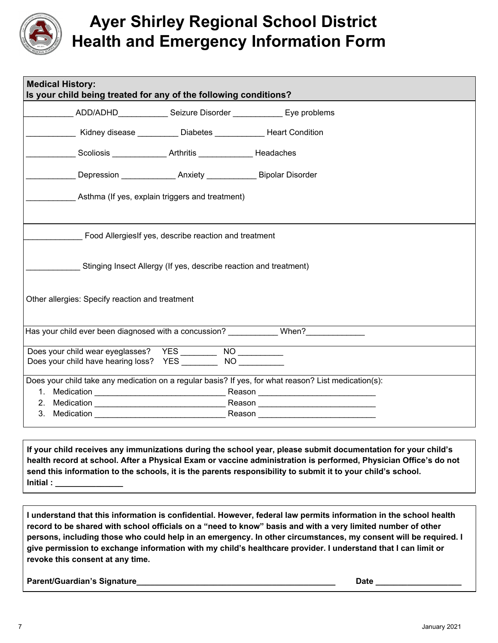

## **Ayer Shirley Regional School District Health and Emergency Information Form**

| <b>Medical History:</b><br>Is your child being treated for any of the following conditions? |                                                                   |                                                                    |                                                                                                                       |  |
|---------------------------------------------------------------------------------------------|-------------------------------------------------------------------|--------------------------------------------------------------------|-----------------------------------------------------------------------------------------------------------------------|--|
|                                                                                             |                                                                   |                                                                    | ADD/ADHD____________________Seizure Disorder _________________ Eye problems                                           |  |
|                                                                                             |                                                                   | Kidney disease ___________ Diabetes ______________ Heart Condition |                                                                                                                       |  |
|                                                                                             |                                                                   | Scoliosis <b>Arthritis Headaches</b>                               |                                                                                                                       |  |
|                                                                                             |                                                                   |                                                                    |                                                                                                                       |  |
|                                                                                             | Asthma (If yes, explain triggers and treatment)                   |                                                                    |                                                                                                                       |  |
| Food Allergies If yes, describe reaction and treatment                                      |                                                                   |                                                                    |                                                                                                                       |  |
|                                                                                             | Stinging Insect Allergy (If yes, describe reaction and treatment) |                                                                    |                                                                                                                       |  |
| Other allergies: Specify reaction and treatment                                             |                                                                   |                                                                    |                                                                                                                       |  |
|                                                                                             |                                                                   |                                                                    | Has your child ever been diagnosed with a concussion? When?                                                           |  |
|                                                                                             |                                                                   | Does your child have hearing loss? YES NO                          |                                                                                                                       |  |
|                                                                                             |                                                                   |                                                                    | Does your child take any medication on a regular basis? If yes, for what reason? List medication(s):                  |  |
|                                                                                             |                                                                   |                                                                    |                                                                                                                       |  |
| 3.<br>Medication                                                                            |                                                                   |                                                                    | <u> Reason and Barbara and Barbara and Barbara and Barbara and Barbara and Barbara and Barbara and Barbara and Ba</u> |  |

**If your child receives any immunizations during the school year, please submit documentation for your child's** health record at school. After a Physical Exam or vaccine administration is performed, Physician Office's do not send this information to the schools, it is the parents responsibility to submit it to your child's school. **Initial : \_\_\_\_\_\_\_\_\_\_\_\_\_\_\_**

I understand that this information is confidential. However, federal law permits information in the school health record to be shared with school officials on a "need to know" basis and with a very limited number of other persons, including those who could help in an emergency. In other circumstances, my consent will be required. I give permission to exchange information with my child's healthcare provider. I understand that I can limit or **revoke this consent at any time.**

**Parent/Guardian's Signature\_\_\_\_\_\_\_\_\_\_\_\_\_\_\_\_\_\_\_\_\_\_\_\_\_\_\_\_\_\_\_\_\_\_\_\_\_\_\_\_\_\_\_\_ Date \_\_\_\_\_\_\_\_\_\_\_\_\_\_\_\_\_\_\_**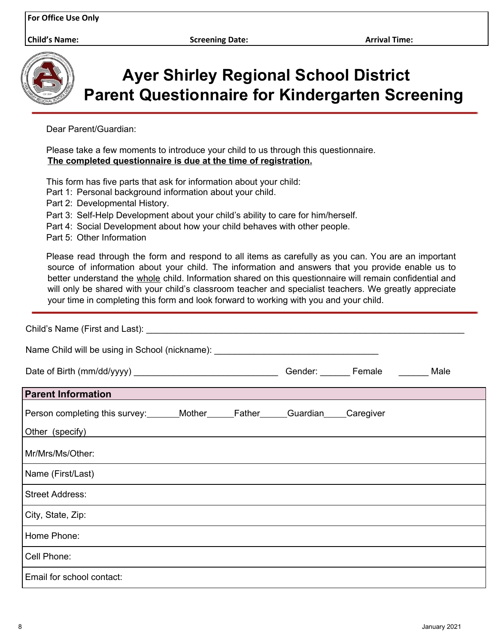**Child's Name: Screening Date: Arrival Time:**



**Ayer Shirley Regional School District Parent Questionnaire for Kindergarten Screening**

Dear Parent/Guardian:

Please take a few moments to introduce your child to us through this questionnaire. **The completed questionnaire is due at the time of registration.**

This form has five parts that ask for information about your child:

- Part 1: Personal background information about your child.
- Part 2: Developmental History.
- Part 3: Self-Help Development about your child's ability to care for him/herself.
- Part 4: Social Development about how your child behaves with other people.
- Part 5: Other Information

Please read through the form and respond to all items as carefully as you can. You are an important source of information about your child. The information and answers that you provide enable us to better understand the whole child. Information shared on this questionnaire will remain confidential and will only be shared with your child's classroom teacher and specialist teachers. We greatly appreciate your time in completing this form and look forward to working with you and your child.

| Name Child will be using in School (nickname): _________________________________       |  |                    |      |
|----------------------------------------------------------------------------------------|--|--------------------|------|
|                                                                                        |  | Gender: Female ___ | Male |
| <b>Parent Information</b>                                                              |  |                    |      |
| Person completing this survey:_______Mother______Father_____Guardian_____Caregiver     |  |                    |      |
| Other (specify)<br><u> 1989 - Johann Stein, mars an deus Amerikaansk kommunister (</u> |  |                    |      |
| Mr/Mrs/Ms/Other:                                                                       |  |                    |      |
| Name (First/Last)                                                                      |  |                    |      |
| <b>Street Address:</b>                                                                 |  |                    |      |
| City, State, Zip:                                                                      |  |                    |      |
| Home Phone:                                                                            |  |                    |      |
| Cell Phone:                                                                            |  |                    |      |
| Email for school contact:                                                              |  |                    |      |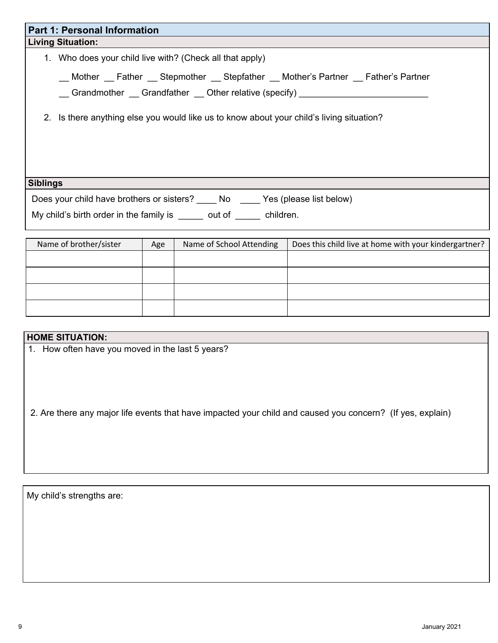| <b>Part 1: Personal Information</b>                                                                                                                          |  |  |  |
|--------------------------------------------------------------------------------------------------------------------------------------------------------------|--|--|--|
| <b>Living Situation:</b>                                                                                                                                     |  |  |  |
| 1. Who does your child live with? (Check all that apply)                                                                                                     |  |  |  |
| __ Mother __ Father __ Stepmother __ Stepfather __ Mother's Partner __ Father's Partner<br>Grandmother Grandfather Other relative (specify)                  |  |  |  |
| 2. Is there anything else you would like us to know about your child's living situation?                                                                     |  |  |  |
| <b>Siblings</b>                                                                                                                                              |  |  |  |
| Does your child have brothers or sisters? ______ No ______ Yes (please list below)<br>My child's birth order in the family is ______ out of ______ children. |  |  |  |
|                                                                                                                                                              |  |  |  |

| Name of brother/sister | Age | Name of School Attending | Does this child live at home with your kindergartner? |
|------------------------|-----|--------------------------|-------------------------------------------------------|
|                        |     |                          |                                                       |
|                        |     |                          |                                                       |
|                        |     |                          |                                                       |
|                        |     |                          |                                                       |

#### **HOME SITUATION:**

1. How often have you moved in the last 5 years?

2. Are there any major life events that have impacted your child and caused you concern? (If yes, explain)

My child's strengths are: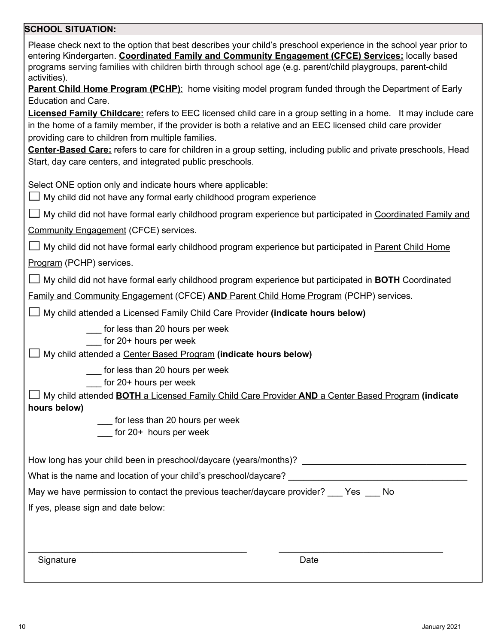### **SCHOOL SITUATION:**

| Please check next to the option that best describes your child's preschool experience in the school year prior to<br>entering Kindergarten. Coordinated Family and Community Engagement (CFCE) Services: locally based<br>programs serving families with children birth through school age (e.g. parent/child playgroups, parent-child<br>activities).<br><b>Parent Child Home Program (PCHP):</b> home visiting model program funded through the Department of Early<br>Education and Care.<br><b>Licensed Family Childcare:</b> refers to EEC licensed child care in a group setting in a home. It may include care<br>in the home of a family member, if the provider is both a relative and an EEC licensed child care provider<br>providing care to children from multiple families.<br>Center-Based Care: refers to care for children in a group setting, including public and private preschools, Head<br>Start, day care centers, and integrated public preschools. |
|-----------------------------------------------------------------------------------------------------------------------------------------------------------------------------------------------------------------------------------------------------------------------------------------------------------------------------------------------------------------------------------------------------------------------------------------------------------------------------------------------------------------------------------------------------------------------------------------------------------------------------------------------------------------------------------------------------------------------------------------------------------------------------------------------------------------------------------------------------------------------------------------------------------------------------------------------------------------------------|
| Select ONE option only and indicate hours where applicable:<br>$\Box$ My child did not have any formal early childhood program experience                                                                                                                                                                                                                                                                                                                                                                                                                                                                                                                                                                                                                                                                                                                                                                                                                                   |
| $\Box$ My child did not have formal early childhood program experience but participated in Coordinated Family and<br><b>Community Engagement (CFCE) services.</b>                                                                                                                                                                                                                                                                                                                                                                                                                                                                                                                                                                                                                                                                                                                                                                                                           |
| $\Box$ My child did not have formal early childhood program experience but participated in Parent Child Home<br>Program (PCHP) services.                                                                                                                                                                                                                                                                                                                                                                                                                                                                                                                                                                                                                                                                                                                                                                                                                                    |
| $\Box$ My child did not have formal early childhood program experience but participated in <b>BOTH</b> Coordinated<br>Family and Community Engagement (CFCE) AND Parent Child Home Program (PCHP) services.                                                                                                                                                                                                                                                                                                                                                                                                                                                                                                                                                                                                                                                                                                                                                                 |
| My child attended a Licensed Family Child Care Provider (indicate hours below)                                                                                                                                                                                                                                                                                                                                                                                                                                                                                                                                                                                                                                                                                                                                                                                                                                                                                              |
| ___ for less than 20 hours per week<br>for 20+ hours per week<br>My child attended a Center Based Program (indicate hours below)                                                                                                                                                                                                                                                                                                                                                                                                                                                                                                                                                                                                                                                                                                                                                                                                                                            |
| for less than 20 hours per week<br>for 20+ hours per week<br>My child attended <b>BOTH</b> a Licensed Family Child Care Provider AND a Center Based Program (indicate<br>hours below)<br>_ for less than 20 hours per week<br>for 20+ hours per week                                                                                                                                                                                                                                                                                                                                                                                                                                                                                                                                                                                                                                                                                                                        |
|                                                                                                                                                                                                                                                                                                                                                                                                                                                                                                                                                                                                                                                                                                                                                                                                                                                                                                                                                                             |
|                                                                                                                                                                                                                                                                                                                                                                                                                                                                                                                                                                                                                                                                                                                                                                                                                                                                                                                                                                             |
| May we have permission to contact the previous teacher/daycare provider? ___ Yes ___ No                                                                                                                                                                                                                                                                                                                                                                                                                                                                                                                                                                                                                                                                                                                                                                                                                                                                                     |
| If yes, please sign and date below:                                                                                                                                                                                                                                                                                                                                                                                                                                                                                                                                                                                                                                                                                                                                                                                                                                                                                                                                         |
| Signature<br>Date                                                                                                                                                                                                                                                                                                                                                                                                                                                                                                                                                                                                                                                                                                                                                                                                                                                                                                                                                           |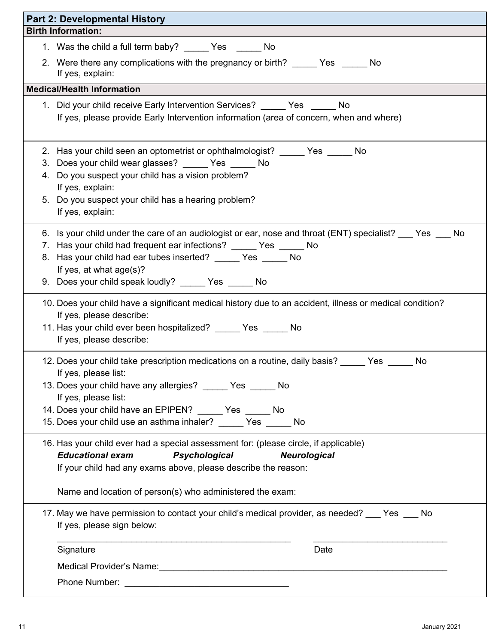| <b>Part 2: Developmental History</b>                                                                                                                                                                                                                                                                                                           |
|------------------------------------------------------------------------------------------------------------------------------------------------------------------------------------------------------------------------------------------------------------------------------------------------------------------------------------------------|
| <b>Birth Information:</b>                                                                                                                                                                                                                                                                                                                      |
| 1. Was the child a full term baby? _______ Yes ________ No                                                                                                                                                                                                                                                                                     |
| 2. Were there any complications with the pregnancy or birth? ______ Yes ______ No<br>If yes, explain:                                                                                                                                                                                                                                          |
| <b>Medical/Health Information</b>                                                                                                                                                                                                                                                                                                              |
| 1. Did your child receive Early Intervention Services? ______ Yes ______ No<br>If yes, please provide Early Intervention information (area of concern, when and where)                                                                                                                                                                         |
| 2. Has your child seen an optometrist or ophthalmologist? ______ Yes ______ No<br>3. Does your child wear glasses? ______ Yes ______ No<br>4. Do you suspect your child has a vision problem?<br>If yes, explain:<br>5. Do you suspect your child has a hearing problem?<br>If yes, explain:                                                   |
| 6. Is your child under the care of an audiologist or ear, nose and throat (ENT) specialist? ___ Yes ___ No<br>7. Has your child had frequent ear infections? ______ Yes ______ No<br>8. Has your child had ear tubes inserted? ______ Yes ______ No<br>If yes, at what age(s)?<br>9. Does your child speak loudly? _____ Yes _____ No          |
| 10. Does your child have a significant medical history due to an accident, illness or medical condition?<br>If yes, please describe:<br>11. Has your child ever been hospitalized? ______ Yes ______ No<br>If yes, please describe:                                                                                                            |
| 12. Does your child take prescription medications on a routine, daily basis? _____ Yes _____<br>No<br>If yes, please list:<br>13. Does your child have any allergies? ______ Yes ______ No<br>If yes, please list:<br>14. Does your child have an EPIPEN? ______ Yes _____ No<br>15. Does your child use an asthma inhaler? _____ Yes _____ No |
| 16. Has your child ever had a special assessment for: (please circle, if applicable)<br><b>Educational exam</b><br>Psychological<br><b>Neurological</b><br>If your child had any exams above, please describe the reason:<br>Name and location of person(s) who administered the exam:                                                         |
| 17. May we have permission to contact your child's medical provider, as needed? ___ Yes ___ No<br>If yes, please sign below:                                                                                                                                                                                                                   |
| Signature<br>Date                                                                                                                                                                                                                                                                                                                              |
| Medical Provider's Name: Manner All Allen Contract of the Medical Provider's Name:                                                                                                                                                                                                                                                             |
|                                                                                                                                                                                                                                                                                                                                                |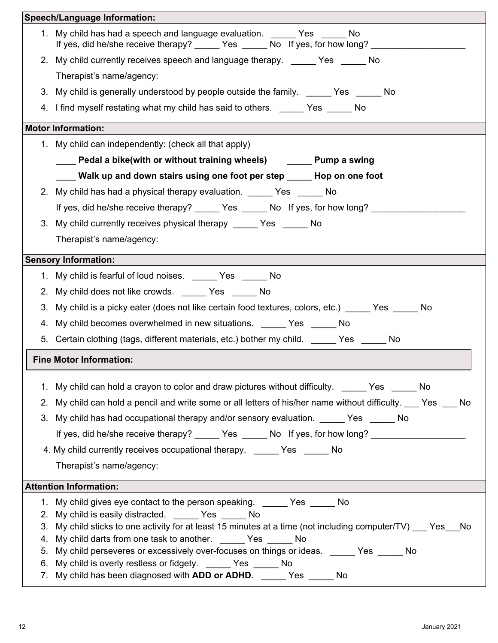|    | <b>Speech/Language Information:</b>                                                                                                                                        |
|----|----------------------------------------------------------------------------------------------------------------------------------------------------------------------------|
|    | 1. My child has had a speech and language evaluation. Yes No<br>If yes, did he/she receive therapy? _______ Yes _______ No If yes, for how long? _________                 |
|    | 2. My child currently receives speech and language therapy. _____ Yes _____ No                                                                                             |
|    | Therapist's name/agency:                                                                                                                                                   |
|    | 3. My child is generally understood by people outside the family. _______Yes _______No                                                                                     |
|    | 4. I find myself restating what my child has said to others. ______ Yes ______ No                                                                                          |
|    | <b>Motor Information:</b>                                                                                                                                                  |
|    | 1. My child can independently: (check all that apply)                                                                                                                      |
|    | ___ Pedal a bike(with or without training wheels)   _____ Pump a swing                                                                                                     |
|    | ____ Walk up and down stairs using one foot per step _____ Hop on one foot                                                                                                 |
|    | 2. My child has had a physical therapy evaluation. ______ Yes _____ No                                                                                                     |
|    | If yes, did he/she receive therapy? _______ Yes _______ No If yes, for how long? __________                                                                                |
|    | 3. My child currently receives physical therapy ______ Yes ______ No                                                                                                       |
|    | Therapist's name/agency:                                                                                                                                                   |
|    | <b>Sensory Information:</b>                                                                                                                                                |
|    | 1. My child is fearful of loud noises. No No                                                                                                                               |
|    | 2. My child does not like crowds. _____ Yes _____ No                                                                                                                       |
|    | 3. My child is a picky eater (does not like certain food textures, colors, etc.) ______ Yes ______ No                                                                      |
|    | 4. My child becomes overwhelmed in new situations. _______ Yes ______ No                                                                                                   |
|    | 5. Certain clothing (tags, different materials, etc.) bother my child. _______ Yes _______ No                                                                              |
|    | <b>Fine Motor Information:</b>                                                                                                                                             |
|    | 1. My child can hold a crayon to color and draw pictures without difficulty. _____ Yes _____ No                                                                            |
| 2. | My child can hold a pencil and write some or all letters of his/her name without difficulty. ___ Yes ___ No                                                                |
| 3. | My child has had occupational therapy and/or sensory evaluation. ______ Yes _____ No                                                                                       |
|    | If yes, did he/she receive therapy? ______ Yes ______ No If yes, for how long? _____________________                                                                       |
|    | 4. My child currently receives occupational therapy. ______ Yes ______ No                                                                                                  |
|    | Therapist's name/agency:                                                                                                                                                   |
|    | <b>Attention Information:</b>                                                                                                                                              |
|    | 1. My child gives eye contact to the person speaking. ______ Yes _____ No                                                                                                  |
|    | 2. My child is easily distracted. ______ Yes _____ No                                                                                                                      |
| 3. | My child sticks to one activity for at least 15 minutes at a time (not including computer/TV) __ Yes_No<br>4. My child darts from one task to another. ______ Yes _____ No |
| 5. | My child perseveres or excessively over-focuses on things or ideas. ______ Yes _____ No                                                                                    |
|    | 6. My child is overly restless or fidgety. ______ Yes _____ No                                                                                                             |
|    | 7. My child has been diagnosed with ADD or ADHD. ______ Yes ______ No                                                                                                      |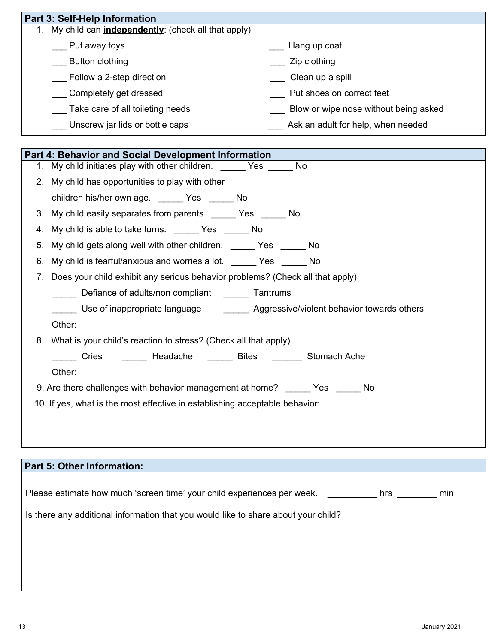| <b>Part 3: Self-Help Information</b>               |                                       |
|----------------------------------------------------|---------------------------------------|
| My child can independently: (check all that apply) |                                       |
| Put away toys                                      | Hang up coat                          |
| Button clothing                                    | Zip clothing                          |
| Follow a 2-step direction                          | Clean up a spill                      |
| Completely get dressed                             | Put shoes on correct feet             |
| Take care of all toileting needs                   | Blow or wipe nose without being asked |
| Unscrew jar lids or bottle caps                    | Ask an adult for help, when needed    |

|    | Part 4: Behavior and Social Development Information                                  |
|----|--------------------------------------------------------------------------------------|
| 1. | My child initiates play with other children. No No                                   |
|    | 2. My child has opportunities to play with other                                     |
|    | children his/her own age. ______ Yes ______ No                                       |
|    | 3. My child easily separates from parents ______ Yes _____ No                        |
| 4. | My child is able to take turns. ________ Yes ________ No                             |
| 5. | My child gets along well with other children. _______ Yes _______ No                 |
| 6. | My child is fearful/anxious and worries a lot. ______ Yes _____ No                   |
| 7. | Does your child exhibit any serious behavior problems? (Check all that apply)        |
|    | Defiance of adults/non compliant ________ Tantrums                                   |
|    | Use of inappropriate language ___________ Aggressive/violent behavior towards others |
|    | Other:                                                                               |
|    | 8. What is your child's reaction to stress? (Check all that apply)                   |
|    | _____ Cries _______ Headache ______ Bites _______ Stomach Ache                       |
|    | Other:                                                                               |
|    | 9. Are there challenges with behavior management at home? ______ Yes ______ No       |
|    | 10. If yes, what is the most effective in establishing acceptable behavior:          |
|    |                                                                                      |
|    |                                                                                      |

| <b>Part 5: Other Information:</b>                                                     |
|---------------------------------------------------------------------------------------|
|                                                                                       |
| Please estimate how much 'screen time' your child experiences per week.<br>hrs<br>min |
| Is there any additional information that you would like to share about your child?    |
|                                                                                       |
|                                                                                       |
|                                                                                       |
|                                                                                       |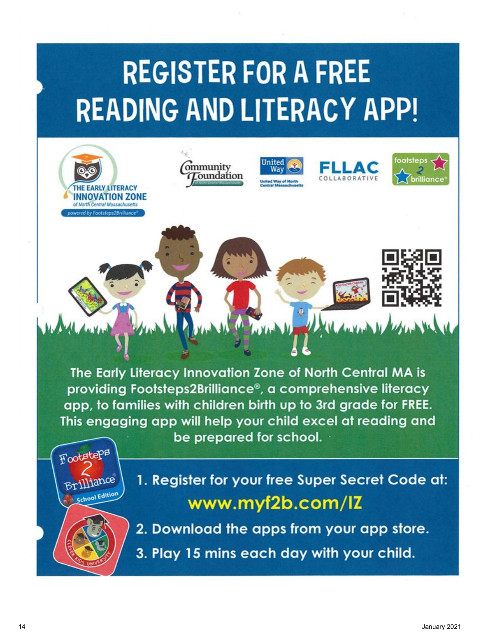# **REGISTER FOR A FREE READING AND LITERACY APP!**

ommunity

Toundation

Jnited

Way



1. Register for your free Super Secret Code at: www.myf2b.com/IZ



School Edition

**RLY LITERACY OVATION ZONE** th Central Massachusett

2. Download the apps from your app store.

3. Play 15 mins each day with your child.

ootsteps

EI I A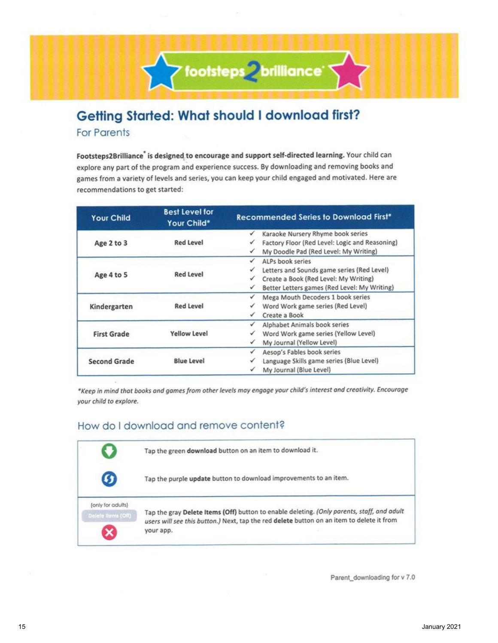## **Getting Started: What should I download first? For Parents**

Footsteps2Brilliance® is designed to encourage and support self-directed learning. Your child can explore any part of the program and experience success. By downloading and removing books and games from a variety of levels and series, you can keep your child engaged and motivated. Here are recommendations to get started:

Y footsteps 2 brilliance

| <b>Your Child</b>   | <b>Best Level for</b><br>Your Child* | <b>Recommended Series to Download First*</b>   |
|---------------------|--------------------------------------|------------------------------------------------|
|                     |                                      | Karaoke Nursery Rhyme book series              |
| Age 2 to 3          | <b>Red Level</b>                     | Factory Floor (Red Level: Logic and Reasoning) |
|                     |                                      | My Doodle Pad (Red Level: My Writing)<br>✓     |
|                     |                                      | ALPs book series<br>✓                          |
|                     | <b>Red Level</b>                     | Letters and Sounds game series (Red Level)     |
| Age 4 to 5          |                                      | Create a Book (Red Level: My Writing)          |
|                     |                                      | Better Letters games (Red Level: My Writing)   |
|                     |                                      | Mega Mouth Decoders 1 book series              |
| Kindergarten        | <b>Red Level</b>                     | Word Work game series (Red Level)              |
|                     |                                      | Create a Book                                  |
|                     |                                      | Alphabet Animals book series                   |
| <b>First Grade</b>  | <b>Yellow Level</b>                  | Word Work game series (Yellow Level)           |
|                     |                                      | My Journal (Yellow Level)                      |
|                     |                                      | Aesop's Fables book series<br>✓                |
| <b>Second Grade</b> | <b>Blue Level</b>                    | Language Skills game series (Blue Level)       |
|                     |                                      | My Journal (Blue Level)                        |

\*Keep in mind that books and games from other levels may engage your child's interest and creativity. Encourage your child to explore.

#### How do I download and remove content?



Parent downloading for v 7.0